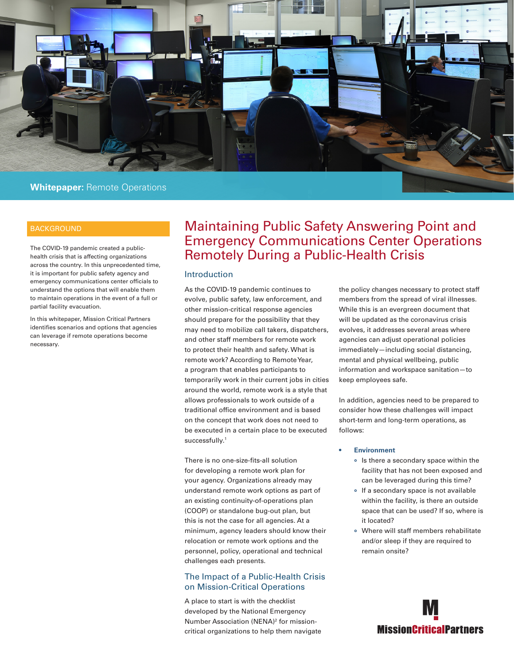

health crisis that is affecting organizations across the country. In this unprecedented time, it is important for public safety agency and emergency communications center officials to understand the options that will enable them to maintain operations in the event of a full or partial facility evacuation.

In this whitepaper, Mission Critical Partners identifies scenarios and options that agencies can leverage if remote operations become necessary.

# BACKGROUND **Maintaining Public Safety Answering Point and** Emergency Communications Center Operations The COVID-19 pandemic created a public-<br>
Remotely During a Public-Health Crisis

# Introduction

As the COVID-19 pandemic continues to evolve, public safety, law enforcement, and other mission-critical response agencies should prepare for the possibility that they may need to mobilize call takers, dispatchers, and other staff members for remote work to protect their health and safety. What is remote work? According to Remote Year, a program that enables participants to temporarily work in their current jobs in cities around the world, remote work is a style that allows professionals to work outside of a traditional office environment and is based on the concept that work does not need to be executed in a certain place to be executed successfully.<sup>1</sup>

There is no one-size-fits-all solution for developing a remote work plan for your agency. Organizations already may understand remote work options as part of an existing continuity-of-operations plan (COOP) or standalone bug-out plan, but this is not the case for all agencies. At a minimum, agency leaders should know their relocation or remote work options and the personnel, policy, operational and technical challenges each presents.

# The Impact of a Public-Health Crisis on Mission-Critical Operations

A place to start is with the checklist developed by the National Emergency Number Association (NENA)<sup>2</sup> for missioncritical organizations to help them navigate the policy changes necessary to protect staff members from the spread of viral illnesses. While this is an evergreen document that will be updated as the coronavirus crisis evolves, it addresses several areas where agencies can adjust operational policies immediately—including social distancing, mental and physical wellbeing, public information and workspace sanitation—to keep employees safe.

In addition, agencies need to be prepared to consider how these challenges will impact short-term and long-term operations, as follows:

#### **• Environment**

- Is there a secondary space within the facility that has not been exposed and can be leveraged during this time?
- If a secondary space is not available within the facility, is there an outside space that can be used? If so, where is it located?
- Where will staff members rehabilitate and/or sleep if they are required to remain onsite?

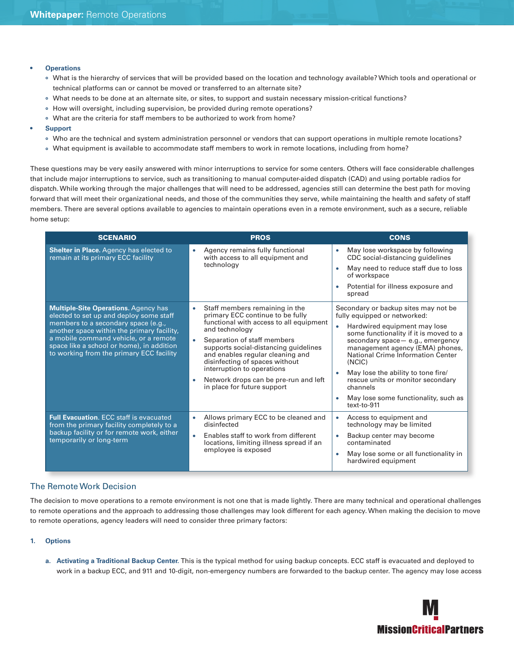- **• Operations**
	- What is the hierarchy of services that will be provided based on the location and technology available? Which tools and operational or technical platforms can or cannot be moved or transferred to an alternate site?
	- What needs to be done at an alternate site, or sites, to support and sustain necessary mission-critical functions?
	- How will oversight, including supervision, be provided during remote operations?
	- What are the criteria for staff members to be authorized to work from home?
- **• Support**
	- Who are the technical and system administration personnel or vendors that can support operations in multiple remote locations?
	- What equipment is available to accommodate staff members to work in remote locations, including from home?

These questions may be very easily answered with minor interruptions to service for some centers. Others will face considerable challenges that include major interruptions to service, such as transitioning to manual computer-aided dispatch (CAD) and using portable radios for dispatch. While working through the major challenges that will need to be addressed, agencies still can determine the best path for moving forward that will meet their organizational needs, and those of the communities they serve, while maintaining the health and safety of staff members. There are several options available to agencies to maintain operations even in a remote environment, such as a secure, reliable home setup:

| <b>SCENARIO</b>                                                                                                                                                                                                                                                                                               | <b>PROS</b>                                                                                                                                                                                                                                                                                                                                                                                           | <b>CONS</b>                                                                                                                                                                                                                                                                                                                                                                                                                      |  |
|---------------------------------------------------------------------------------------------------------------------------------------------------------------------------------------------------------------------------------------------------------------------------------------------------------------|-------------------------------------------------------------------------------------------------------------------------------------------------------------------------------------------------------------------------------------------------------------------------------------------------------------------------------------------------------------------------------------------------------|----------------------------------------------------------------------------------------------------------------------------------------------------------------------------------------------------------------------------------------------------------------------------------------------------------------------------------------------------------------------------------------------------------------------------------|--|
| Shelter in Place. Agency has elected to<br>remain at its primary ECC facility                                                                                                                                                                                                                                 | Agency remains fully functional<br>$\bullet$<br>with access to all equipment and<br>technology                                                                                                                                                                                                                                                                                                        | May lose workspace by following<br>$\bullet$<br>CDC social-distancing guidelines<br>May need to reduce staff due to loss<br>$\bullet$<br>of workspace<br>Potential for illness exposure and<br>spread                                                                                                                                                                                                                            |  |
| <b>Multiple-Site Operations. Agency has</b><br>elected to set up and deploy some staff<br>members to a secondary space (e.g.,<br>another space within the primary facility,<br>a mobile command vehicle, or a remote<br>space like a school or home), in addition<br>to working from the primary ECC facility | Staff members remaining in the<br>٠<br>primary ECC continue to be fully<br>functional with access to all equipment<br>and technology<br>Separation of staff members<br>$\bullet$<br>supports social-distancing guidelines<br>and enables regular cleaning and<br>disinfecting of spaces without<br>interruption to operations<br>Network drops can be pre-run and left<br>in place for future support | Secondary or backup sites may not be<br>fully equipped or networked:<br>Hardwired equipment may lose<br>some functionality if it is moved to a<br>secondary space - e.g., emergency<br>management agency (EMA) phones,<br>National Crime Information Center<br>(NCIC)<br>May lose the ability to tone fire/<br>$\bullet$<br>rescue units or monitor secondary<br>channels<br>May lose some functionality, such as<br>text-to-911 |  |
| <b>Full Evacuation. ECC staff is evacuated</b><br>from the primary facility completely to a<br>backup facility or for remote work, either<br>temporarily or long-term                                                                                                                                         | Allows primary ECC to be cleaned and<br>٠<br>disinfected<br>Enables staff to work from different<br>٠<br>locations, limiting illness spread if an<br>employee is exposed                                                                                                                                                                                                                              | Access to equipment and<br>$\bullet$<br>technology may be limited<br>Backup center may become<br>contaminated<br>May lose some or all functionality in<br>hardwired equipment                                                                                                                                                                                                                                                    |  |

## The Remote Work Decision

The decision to move operations to a remote environment is not one that is made lightly. There are many technical and operational challenges to remote operations and the approach to addressing those challenges may look different for each agency. When making the decision to move to remote operations, agency leaders will need to consider three primary factors:

#### **1. Options**

**a. Activating a Traditional Backup Center.** This is the typical method for using backup concepts. ECC staff is evacuated and deployed to work in a backup ECC, and 911 and 10-digit, non-emergency numbers are forwarded to the backup center. The agency may lose access

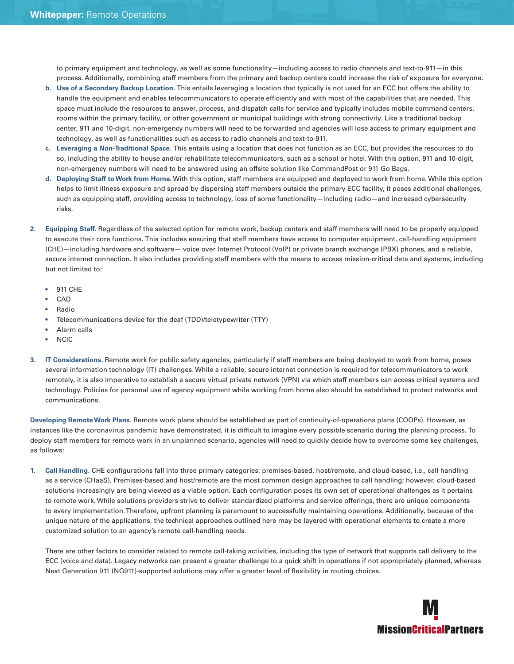to primary equipment and technology, as well as some functionality—including access to radio channels and text-to-911—in this process. Additionally, combining staff members from the primary and backup centers could increase the risk of exposure for everyone.

- **b. Use of a Secondary Backup Location.** This entails leveraging a location that typically is not used for an ECC but offers the ability to handle the equipment and enables telecommunicators to operate efficiently and with most of the capabilities that are needed. This space must include the resources to answer, process, and dispatch calls for service and typically includes mobile command centers, rooms within the primary facility, or other government or municipal buildings with strong connectivity. Like a traditional backup center, 911 and 10-digit, non-emergency numbers will need to be forwarded and agencies will lose access to primary equipment and technology, as well as functionalities such as access to radio channels and text-to-911.
- **c. Leveraging a Non-Traditional Space.** This entails using a location that does not function as an ECC, but provides the resources to do so, including the ability to house and/or rehabilitate telecommunicators, such as a school or hotel. With this option, 911 and 10-digit, non-emergency numbers will need to be answered using an offsite solution like CommandPost or 911 Go Bags.
- **d. Deploying Staff to Work from Home.** With this option, staff members are equipped and deployed to work from home. While this option helps to limit illness exposure and spread by dispersing staff members outside the primary ECC facility, it poses additional challenges, such as equipping staff, providing access to technology, loss of some functionality—including radio—and increased cybersecurity risks.
- **2. Equipping Staff.** Regardless of the selected option for remote work, backup centers and staff members will need to be properly equipped to execute their core functions. This includes ensuring that staff members have access to computer equipment, call-handling equipment (CHE)—including hardware and software— voice over Internet Protocol (VoIP) or private branch exchange (PBX) phones, and a reliable, secure internet connection. It also includes providing staff members with the means to access mission-critical data and systems, including but not limited to:
	- 911 CHE
	- CAD
	- Radio
	- Telecommunications device for the deaf (TDD)/teletypewriter (TTY)
	- Alarm calls
	- NCIC
- **3. IT Considerations.** Remote work for public safety agencies, particularly if staff members are being deployed to work from home, poses several information technology (IT) challenges. While a reliable, secure internet connection is required for telecommunicators to work remotely, it is also imperative to establish a secure virtual private network (VPN) via which staff members can access critical systems and technology. Policies for personal use of agency equipment while working from home also should be established to protect networks and communications.

**Developing Remote Work Plans.** Remote work plans should be established as part of continuity-of-operations plans (COOPs). However, as instances like the coronavirus pandemic have demonstrated, it is difficult to imagine every possible scenario during the planning process. To deploy staff members for remote work in an unplanned scenario, agencies will need to quickly decide how to overcome some key challenges, as follows:

**1. Call Handling.** CHE configurations fall into three primary categories: premises-based, host/remote, and cloud-based, i.e., call handling as a service (CHaaS). Premises-based and host/remote are the most common design approaches to call handling; however, cloud-based solutions increasingly are being viewed as a viable option. Each configuration poses its own set of operational challenges as it pertains to remote work. While solutions providers strive to deliver standardized platforms and service offerings, there are unique components to every implementation. Therefore, upfront planning is paramount to successfully maintaining operations. Additionally, because of the unique nature of the applications, the technical approaches outlined here may be layered with operational elements to create a more customized solution to an agency's remote call-handling needs.

There are other factors to consider related to remote call-taking activities, including the type of network that supports call delivery to the ECC (voice and data). Legacy networks can present a greater challenge to a quick shift in operations if not appropriately planned, whereas Next Generation 911 (NG911)-supported solutions may offer a greater level of flexibility in routing choices.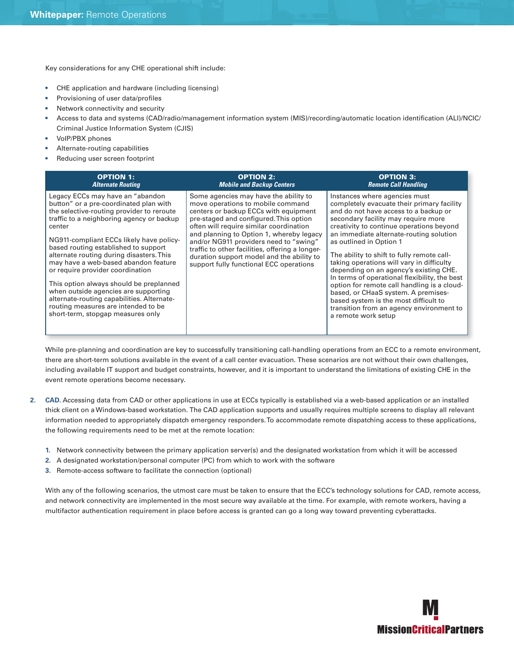Key considerations for any CHE operational shift include:

- CHE application and hardware (including licensing)
- Provisioning of user data/profiles
- Network connectivity and security
- Access to data and systems (CAD/radio/management information system (MIS)/recording/automatic location identification (ALI)/NCIC/ Criminal Justice Information System (CJIS)
- VoIP/PBX phones
- Alternate-routing capabilities
- Reducing user screen footprint

| <b>OPTION 1:</b>                                                                                                                                                                                                                                                                                                                                                                                                                                                                                                                                                                                        | <b>OPTION 2:</b>                                                                                                                                                                                                                                                                                                                                                                                                                          | <b>OPTION 3:</b>                                                                                                                                                                                                                                                                                                                                                                                                                                                                                                                                                                                                                                                      |
|---------------------------------------------------------------------------------------------------------------------------------------------------------------------------------------------------------------------------------------------------------------------------------------------------------------------------------------------------------------------------------------------------------------------------------------------------------------------------------------------------------------------------------------------------------------------------------------------------------|-------------------------------------------------------------------------------------------------------------------------------------------------------------------------------------------------------------------------------------------------------------------------------------------------------------------------------------------------------------------------------------------------------------------------------------------|-----------------------------------------------------------------------------------------------------------------------------------------------------------------------------------------------------------------------------------------------------------------------------------------------------------------------------------------------------------------------------------------------------------------------------------------------------------------------------------------------------------------------------------------------------------------------------------------------------------------------------------------------------------------------|
| <b>Alternate Routing</b>                                                                                                                                                                                                                                                                                                                                                                                                                                                                                                                                                                                | <b>Mobile and Backup Centers</b>                                                                                                                                                                                                                                                                                                                                                                                                          | <b>Remote Call Handling</b>                                                                                                                                                                                                                                                                                                                                                                                                                                                                                                                                                                                                                                           |
| Legacy ECCs may have an "abandon<br>button" or a pre-coordinated plan with<br>the selective-routing provider to reroute<br>traffic to a neighboring agency or backup<br>center<br>NG911-compliant ECCs likely have policy-<br>based routing established to support<br>alternate routing during disasters. This<br>may have a web-based abandon feature<br>or require provider coordination<br>This option always should be preplanned<br>when outside agencies are supporting<br>alternate-routing capabilities. Alternate-<br>routing measures are intended to be<br>short-term, stopgap measures only | Some agencies may have the ability to<br>move operations to mobile command<br>centers or backup ECCs with equipment<br>pre-staged and configured. This option<br>often will require similar coordination<br>and planning to Option 1, whereby legacy<br>and/or NG911 providers need to "swing"<br>traffic to other facilities, offering a longer-<br>duration support model and the ability to<br>support fully functional ECC operations | Instances where agencies must<br>completely evacuate their primary facility<br>and do not have access to a backup or<br>secondary facility may require more<br>creativity to continue operations beyond<br>an immediate alternate-routing solution<br>as outlined in Option 1<br>The ability to shift to fully remote call-<br>taking operations will vary in difficulty<br>depending on an agency's existing CHE.<br>In terms of operational flexibility, the best<br>option for remote call handling is a cloud-<br>based, or CHaaS system. A premises-<br>based system is the most difficult to<br>transition from an agency environment to<br>a remote work setup |

While pre-planning and coordination are key to successfully transitioning call-handling operations from an ECC to a remote environment, there are short-term solutions available in the event of a call center evacuation. These scenarios are not without their own challenges, including available IT support and budget constraints, however, and it is important to understand the limitations of existing CHE in the event remote operations become necessary.

- **2. CAD.** Accessing data from CAD or other applications in use at ECCs typically is established via a web-based application or an installed thick client on a Windows-based workstation. The CAD application supports and usually requires multiple screens to display all relevant information needed to appropriately dispatch emergency responders. To accommodate remote dispatching access to these applications, the following requirements need to be met at the remote location:
	- **1.** Network connectivity between the primary application server(s) and the designated workstation from which it will be accessed
	- **2.** A designated workstation/personal computer (PC) from which to work with the software
	- **3.** Remote-access software to facilitate the connection (optional)

With any of the following scenarios, the utmost care must be taken to ensure that the ECC's technology solutions for CAD, remote access, and network connectivity are implemented in the most secure way available at the time. For example, with remote workers, having a multifactor authentication requirement in place before access is granted can go a long way toward preventing cyberattacks.

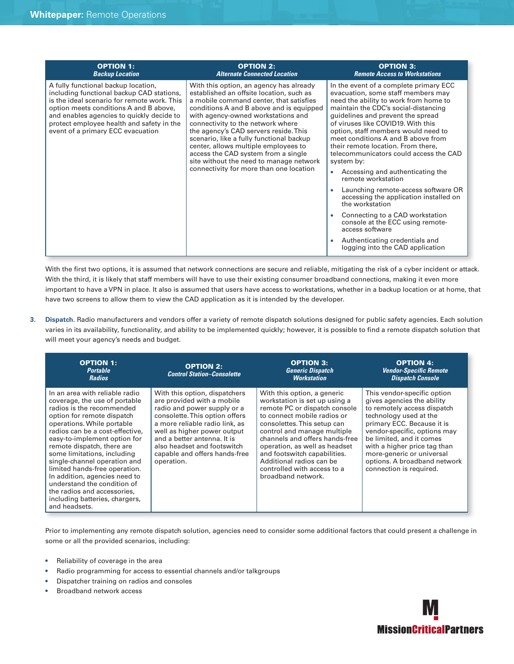| <b>OPTION 1:</b>                                                                                                                                                                                                                                                                                         | <b>OPTION 2:</b>                                                                                                                                                                                                                                                                                                                                                                                                                                                                                                | <b>OPTION 3:</b>                                                                                                                                                                                                                                                                                                                                                                                                                                                                                                                                                                                                                                                                                                                                  |
|----------------------------------------------------------------------------------------------------------------------------------------------------------------------------------------------------------------------------------------------------------------------------------------------------------|-----------------------------------------------------------------------------------------------------------------------------------------------------------------------------------------------------------------------------------------------------------------------------------------------------------------------------------------------------------------------------------------------------------------------------------------------------------------------------------------------------------------|---------------------------------------------------------------------------------------------------------------------------------------------------------------------------------------------------------------------------------------------------------------------------------------------------------------------------------------------------------------------------------------------------------------------------------------------------------------------------------------------------------------------------------------------------------------------------------------------------------------------------------------------------------------------------------------------------------------------------------------------------|
| <b>Backup Location</b>                                                                                                                                                                                                                                                                                   | <b>Alternate Connected Location</b>                                                                                                                                                                                                                                                                                                                                                                                                                                                                             | <b>Remote Access to Workstations</b>                                                                                                                                                                                                                                                                                                                                                                                                                                                                                                                                                                                                                                                                                                              |
| A fully functional backup location,<br>including functional backup CAD stations,<br>is the ideal scenario for remote work. This<br>option meets conditions A and B above,<br>and enables agencies to quickly decide to<br>protect employee health and safety in the<br>event of a primary ECC evacuation | With this option, an agency has already<br>established an offsite location, such as<br>a mobile command center, that satisfies<br>conditions A and B above and is equipped<br>with agency-owned workstations and<br>connectivity to the network where<br>the agency's CAD servers reside. This<br>scenario, like a fully functional backup<br>center, allows multiple employees to<br>access the CAD system from a single<br>site without the need to manage network<br>connectivity for more than one location | In the event of a complete primary ECC<br>evacuation, some staff members may<br>need the ability to work from home to<br>maintain the CDC's social-distancing<br>quidelines and prevent the spread<br>of viruses like COVID19. With this<br>option, staff members would need to<br>meet conditions A and B above from<br>their remote location. From there,<br>telecommunicators could access the CAD<br>system by:<br>Accessing and authenticating the<br>remote workstation<br>Launching remote-access software OR<br>accessing the application installed on<br>the workstation<br>Connecting to a CAD workstation<br>console at the ECC using remote-<br>access software<br>Authenticating credentials and<br>logging into the CAD application |

With the first two options, it is assumed that network connections are secure and reliable, mitigating the risk of a cyber incident or attack. With the third, it is likely that staff members will have to use their existing consumer broadband connections, making it even more important to have a VPN in place. It also is assumed that users have access to workstations, whether in a backup location or at home, that have two screens to allow them to view the CAD application as it is intended by the developer.

**3. Dispatch.** Radio manufacturers and vendors offer a variety of remote dispatch solutions designed for public safety agencies. Each solution varies in its availability, functionality, and ability to be implemented quickly; however, it is possible to find a remote dispatch solution that will meet your agency's needs and budget.

| <b>OPTION 1:</b><br><b>Portable</b><br><b>Radios</b>                                                                                                                                                                                                                                                                                                                                                                                                                                                        | <b>OPTION 2:</b><br><b>Control Station-Consolette</b>                                                                                                                                                                                                                                                      | <b>OPTION 3:</b><br><b>Generic Dispatch</b><br><b>Workstation</b>                                                                                                                                                                                                                                                                                                              | <b>OPTION 4:</b><br><b>Vendor-Specific Remote</b><br><b>Dispatch Console</b>                                                                                                                                                                                                                                                         |
|-------------------------------------------------------------------------------------------------------------------------------------------------------------------------------------------------------------------------------------------------------------------------------------------------------------------------------------------------------------------------------------------------------------------------------------------------------------------------------------------------------------|------------------------------------------------------------------------------------------------------------------------------------------------------------------------------------------------------------------------------------------------------------------------------------------------------------|--------------------------------------------------------------------------------------------------------------------------------------------------------------------------------------------------------------------------------------------------------------------------------------------------------------------------------------------------------------------------------|--------------------------------------------------------------------------------------------------------------------------------------------------------------------------------------------------------------------------------------------------------------------------------------------------------------------------------------|
| In an area with reliable radio<br>coverage, the use of portable<br>radios is the recommended<br>option for remote dispatch<br>operations. While portable<br>radios can be a cost-effective.<br>easy-to-implement option for<br>remote dispatch, there are<br>some limitations, including<br>single-channel operation and<br>limited hands-free operation.<br>In addition, agencies need to<br>understand the condition of<br>the radios and accessories,<br>including batteries, chargers,<br>and headsets. | With this option, dispatchers<br>are provided with a mobile<br>radio and power supply or a<br>consolette. This option offers<br>a more reliable radio link, as<br>well as higher power output<br>and a better antenna. It is<br>also headset and footswitch<br>capable and offers hands-free<br>operation. | With this option, a generic<br>workstation is set up using a<br>remote PC or dispatch console<br>to connect mobile radios or<br>consolettes. This setup can<br>control and manage multiple<br>channels and offers hands-free<br>operation, as well as headset<br>and footswitch capabilities.<br>Additional radios can be<br>controlled with access to a<br>broadband network. | This vendor-specific option<br>gives agencies the ability<br>to remotely access dispatch<br>technology used at the<br>primary ECC. Because it is<br>vendor-specific, options may<br>be limited, and it comes<br>with a higher price tag than<br>more-generic or universal<br>options. A broadband network<br>connection is required. |

Prior to implementing any remote dispatch solution, agencies need to consider some additional factors that could present a challenge in some or all the provided scenarios, including:

- Reliability of coverage in the area
- Radio programming for access to essential channels and/or talkgroups
- Dispatcher training on radios and consoles
- Broadband network access